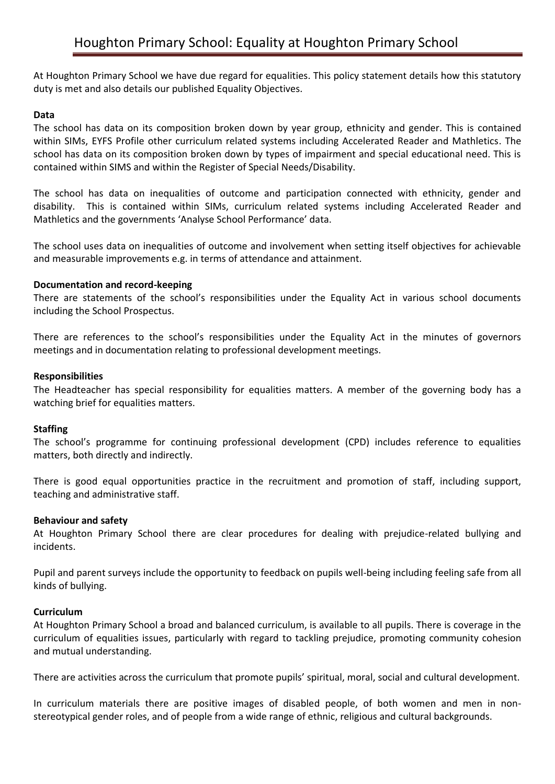At Houghton Primary School we have due regard for equalities. This policy statement details how this statutory duty is met and also details our published Equality Objectives.

## **Data**

The school has data on its composition broken down by year group, ethnicity and gender. This is contained within SIMs, EYFS Profile other curriculum related systems including Accelerated Reader and Mathletics. The school has data on its composition broken down by types of impairment and special educational need. This is contained within SIMS and within the Register of Special Needs/Disability.

The school has data on inequalities of outcome and participation connected with ethnicity, gender and disability. This is contained within SIMs, curriculum related systems including Accelerated Reader and Mathletics and the governments 'Analyse School Performance' data.

The school uses data on inequalities of outcome and involvement when setting itself objectives for achievable and measurable improvements e.g. in terms of attendance and attainment.

## **Documentation and record-keeping**

There are statements of the school's responsibilities under the Equality Act in various school documents including the School Prospectus.

There are references to the school's responsibilities under the Equality Act in the minutes of governors meetings and in documentation relating to professional development meetings.

#### **Responsibilities**

The Headteacher has special responsibility for equalities matters. A member of the governing body has a watching brief for equalities matters.

#### **Staffing**

The school's programme for continuing professional development (CPD) includes reference to equalities matters, both directly and indirectly.

There is good equal opportunities practice in the recruitment and promotion of staff, including support, teaching and administrative staff.

#### **Behaviour and safety**

At Houghton Primary School there are clear procedures for dealing with prejudice-related bullying and incidents.

Pupil and parent surveys include the opportunity to feedback on pupils well-being including feeling safe from all kinds of bullying.

## **Curriculum**

At Houghton Primary School a broad and balanced curriculum, is available to all pupils. There is coverage in the curriculum of equalities issues, particularly with regard to tackling prejudice, promoting community cohesion and mutual understanding.

There are activities across the curriculum that promote pupils' spiritual, moral, social and cultural development.

In curriculum materials there are positive images of disabled people, of both women and men in nonstereotypical gender roles, and of people from a wide range of ethnic, religious and cultural backgrounds.